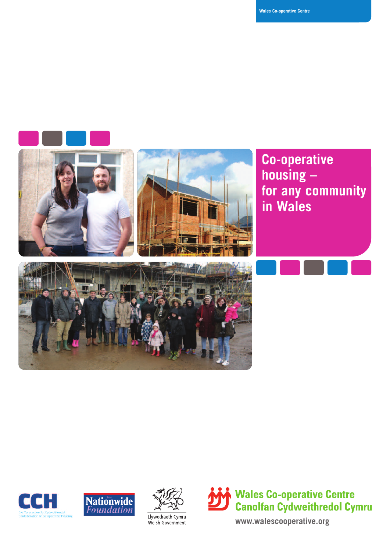









**www.walescooperative.org**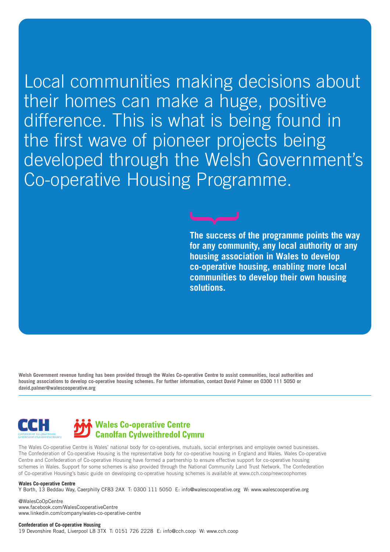Local communities making decisions about their homes can make a huge, positive difference. This is what is being found in the first wave of pioneer projects being developed through the Welsh Government's Co-operative Housing Programme.

> **The success of the programme points the way for any community, any local authority or any housing association in Wales to develop co-operative housing, enabling more local communities to develop their own housing solutions.**

Welsh Government revenue funding has been provided through the Wales Co-operative Centre to assist communities, local authorities and housing associations to develop co-operative housing schemes. For further information, contact David Palmer on 0300 111 5050 or **david.palmer@walescooperative.org**



The Wales Co-operative Centre is Wales' national body for co-operatives, mutuals, social enterprises and employee owned businesses. The Confederation of Co-operative Housing is the representative body for co-operative housing in England and Wales. Wales Co-operative Centre and Confederation of Co-operative Housing have formed a partnership to ensure effective support for co-operative housing schemes in Wales. Support for some schemes is also provided through the National Community Land Trust Network. The Confederation of Co-operative Housing's basic guide on developing co-operative housing schemes is available at www.cch.coop/newcoophomes

#### **Wales Co-operative Centre**

Y Borth, 13 Beddau Way, Caerphilly CF83 2AX T: 0300 111 5050 E: info@walescooperative.org W: www.walescooperative.org

@WalesCoOpCentre www.facebook.com/WalesCooperativeCentre www.linkedin.com/company/wales-co-operative-centre

**Confederation of Co-operative Housing**

19 Devonshire Road, Liverpool L8 3TX T: 0151 726 2228 E: info@cch.coop W: www.cch.coop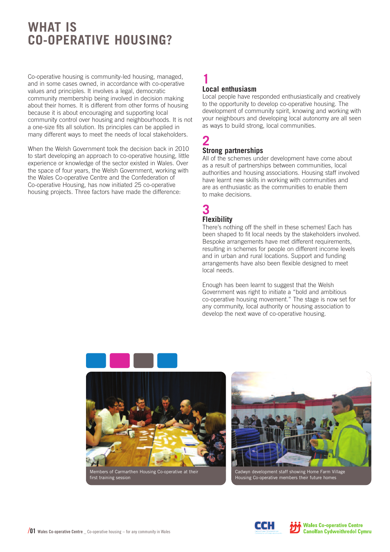# **WHAT IS CO-OPERATIVE HOUSING?**

Co-operative housing is community-led housing, managed, and in some cases owned, in accordance with co-operative values and principles. It involves a legal, democratic community membership being involved in decision making about their homes. It is different from other forms of housing because it is about encouraging and supporting local community control over housing and neighbourhoods. It is not a one-size fits all solution. Its principles can be applied in many different ways to meet the needs of local stakeholders.

When the Welsh Government took the decision back in 2010 to start developing an approach to co-operative housing, little experience or knowledge of the sector existed in Wales. Over the space of four years, the Welsh Government, working with the Wales Co-operative Centre and the Confederation of Co-operative Housing, has now initiated 25 co-operative housing projects. Three factors have made the difference:

### **1 Local enthusiasm**

Local people have responded enthusiastically and creatively to the opportunity to develop co-operative housing. The development of community spirit, knowing and working with your neighbours and developing local autonomy are all seen as ways to build strong, local communities.

### **2 Strong partnerships**

All of the schemes under development have come about as a result of partnerships between communities, local authorities and housing associations. Housing staff involved have learnt new skills in working with communities and are as enthusiastic as the communities to enable them to make decisions.

### **3 Flexibility**

There's nothing off the shelf in these schemes! Each has been shaped to fit local needs by the stakeholders involved. Bespoke arrangements have met different requirements, resulting in schemes for people on different income levels and in urban and rural locations. Support and funding arrangements have also been flexible designed to meet local needs.

Enough has been learnt to suggest that the Welsh Government was right to initiate a "bold and ambitious co-operative housing movement." The stage is now set for any community, local authority or housing association to develop the next wave of co-operative housing.







Housing Co-operative members their future homes

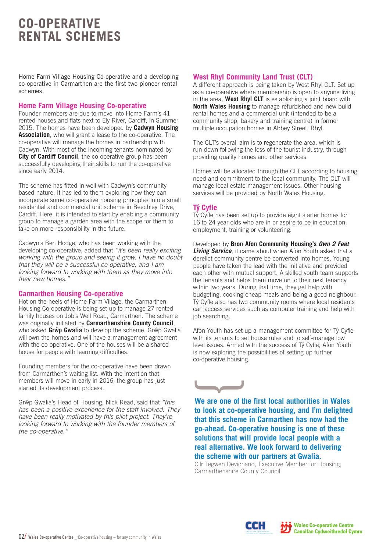# **CO-OPERATIVE RENTAL SCHEMES**

Home Farm Village Housing Co-operative and a developing co-operative in Carmarthen are the first two pioneer rental schemes.

#### **Home Farm Village Housing Co-operative**

Founder members are due to move into Home Farm's 41 rented houses and flats next to Ely River, Cardiff, in Summer 2015. The homes have been developed by **Cadwyn Housing Association**, who will grant a lease to the co-operative. The co-operative will manage the homes in partnership with Cadwyn. With most of the incoming tenants nominated by **City of Cardiff Council**, the co-operative group has been successfully developing their skills to run the co-operative since early 2014.

The scheme has fitted in well with Cadwyn's community based nature. It has led to them exploring how they can incorporate some co-operative housing principles into a small residential and commercial unit scheme in Beechley Drive, Cardiff. Here, it is intended to start by enabling a community group to manage a garden area with the scope for them to take on more responsibility in the future.

Cadwyn's Ben Hodge, who has been working with the developing co-operative, added that *"it's been really exciting working with the group and seeing it grow. I have no doubt that they will be a successful co-operative, and I am looking forward to working with them as they move into their new homes."*

#### **Carmarthen Housing Co-operative**

Hot on the heels of Home Farm Village, the Carmarthen Housing Co-operative is being set up to manage 27 rented family houses on Job's Well Road, Carmarthen. The scheme was originally initiated by **Carmarthenshire County Council**, who asked Grŵp Gwalia to develop the scheme. Grŵp Gwalia will own the homes and will have a management agreement with the co-operative. One of the houses will be a shared house for people with learning difficulties.

Founding members for the co-operative have been drawn from Carmarthen's waiting list. With the intention that members will move in early in 2016, the group has just started its development process.

Grŵp Gwalia's Head of Housing, Nick Read, said that "this *has been a positive experience for the staff involved. They have been really motivated by this pilot project. They're looking forward to working with the founder members of the co-operative."*

### **West Rhyl Community Land Trust (CLT)**

A different approach is being taken by West Rhyl CLT. Set up as a co-operative where membership is open to anyone living in the area, **West Rhyl CLT** is establishing a joint board with **North Wales Housing** to manage refurbished and new build rental homes and a commercial unit (intended to be a community shop, bakery and training centre) in former multiple occupation homes in Abbey Street, Rhyl.

The CLT's overall aim is to regenerate the area, which is run down following the loss of the tourist industry, through providing quality homes and other services.

Homes will be allocated through the CLT according to housing need and commitment to the local community. The CLT will manage local estate management issues. Other housing services will be provided by North Wales Housing.

#### **T** $\hat{v}$  **Cyfle**

 $T\hat{V}$  Cyfle has been set up to provide eight starter homes for 16 to 24 year olds who are in or aspire to be in education, employment, training or volunteering.

Developed by **Bron Afon Community Housing's** *Own 2 Feet Living Service*, it came about when Afon Youth asked that a derelict community centre be converted into homes. Young people have taken the lead with the initiative and provided each other with mutual support. A skilled youth team supports the tenants and helps them move on to their next tenancy within two years. During that time, they get help with budgeting, cooking cheap meals and being a good neighbour.  $T\hat{v}$  Cyfle also has two community rooms where local residents can access services such as computer training and help with job searching.

Afon Youth has set up a management committee for Tŷ Cyfle with its tenants to set house rules and to self-manage low level issues. Armed with the success of Tŷ Cyfle, Afon Youth is now exploring the possibilities of setting up further co-operative housing.



**We are one of the first local authorities in Wales to look at co-operative housing, and I'm delighted that this scheme in Carmarthen has now had the go-ahead. Co-operative housing is one of these solutions that will provide local people with a real alternative. We look forward to delivering the scheme with our partners at Gwalia.**

Cllr Tegwen Devichand, Executive Member for Housing, Carmarthenshire County Council

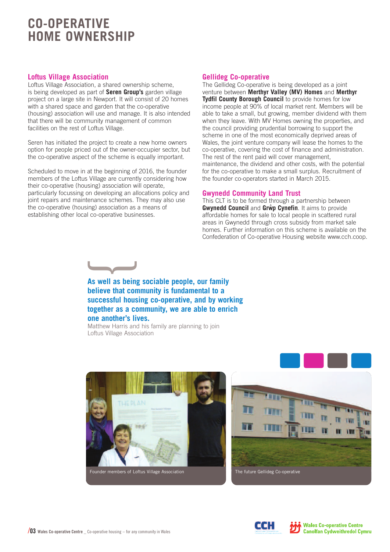# **CO-OPERATIVE HOME OWNERSHIP**

### **Loftus Village Association**

Loftus Village Association, a shared ownership scheme, is being developed as part of **Seren Group's** garden village project on a large site in Newport. It will consist of 20 homes with a shared space and garden that the co-operative (housing) association will use and manage. It is also intended that there will be community management of common facilities on the rest of Loftus Village.

Seren has initiated the project to create a new home owners option for people priced out of the owner-occupier sector, but the co-operative aspect of the scheme is equally important.

Scheduled to move in at the beginning of 2016, the founder members of the Loftus Village are currently considering how their co-operative (housing) association will operate, particularly focussing on developing an allocations policy and joint repairs and maintenance schemes. They may also use the co-operative (housing) association as a means of establishing other local co-operative businesses.

#### **Gellideg Co-operative**

The Gellideg Co-operative is being developed as a joint venture between **Merthyr Valley (MV) Homes** and **Merthyr Tydfil County Borough Council** to provide homes for low income people at 90% of local market rent. Members will be able to take a small, but growing, member dividend with them when they leave. With MV Homes owning the properties, and the council providing prudential borrowing to support the scheme in one of the most economically deprived areas of Wales, the joint venture company will lease the homes to the co-operative, covering the cost of finance and administration. The rest of the rent paid will cover management, maintenance, the dividend and other costs, with the potential for the co-operative to make a small surplus. Recruitment of the founder co-operators started in March 2015.

#### **Gwynedd Community Land Trust**

This CLT is to be formed through a partnership between **Gwynedd Council** and **Grw ^ p Cynefin**. It aims to provide affordable homes for sale to local people in scattered rural areas in Gwynedd through cross subsidy from market sale homes. Further information on this scheme is available on the Confederation of Co-operative Housing website www.cch.coop.



**As well as being sociable people, our family believe that community is fundamental to a successful housing co-operative, and by working together as a community, we are able to enrich one another's lives.**

Matthew Harris and his family are planning to join Loftus Village Association